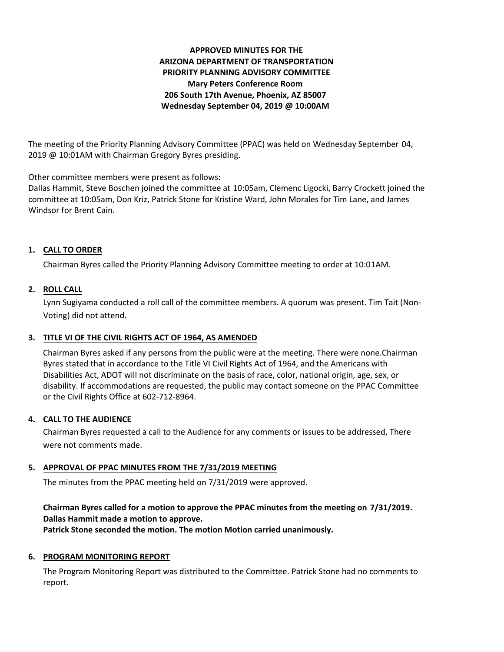# **APPROVED MINUTES FOR THE ARIZONA DEPARTMENT OF TRANSPORTATION PRIORITY PLANNING ADVISORY COMMITTEE Mary Peters Conference Room 206 South 17th Avenue, Phoenix, AZ 85007 Wednesday September 04, 2019 @ 10:00AM**

The meeting of the Priority Planning Advisory Committee (PPAC) was held on Wednesday September 04, 2019 @ 10:01AM with Chairman Gregory Byres presiding.

Other committee members were present as follows:

Dallas Hammit, Steve Boschen joined the committee at 10:05am, Clemenc Ligocki, Barry Crockett joined the committee at 10:05am, Don Kriz, Patrick Stone for Kristine Ward, John Morales for Tim Lane, and James Windsor for Brent Cain.

## **CALL TO ORDER 1.**

Chairman Byres called the Priority Planning Advisory Committee meeting to order at 10:01AM.

## **ROLL CALL 2.**

Lynn Sugiyama conducted a roll call of the committee members. A quorum was present. Tim Tait (Non-Voting) did not attend.

## **TITLE VI OF THE CIVIL RIGHTS ACT OF 1964, AS AMENDED 3.**

Chairman Byres asked if any persons from the public were at the meeting. There were none.Chairman Byres stated that in accordance to the Title VI Civil Rights Act of 1964, and the Americans with Disabilities Act, ADOT will not discriminate on the basis of race, color, national origin, age, sex, or disability. If accommodations are requested, the public may contact someone on the PPAC Committee or the Civil Rights Office at 602-712-8964.

## **CALL TO THE AUDIENCE 4.**

Chairman Byres requested a call to the Audience for any comments or issues to be addressed, There were not comments made.

# **APPROVAL OF PPAC MINUTES FROM THE 7/31/2019 MEETING 5.**

The minutes from the PPAC meeting held on 7/31/2019 were approved.

## **Chairman Byres called for a motion to approve the PPAC minutes from the meeting on 7/31/2019. Dallas Hammit made a motion to approve. Patrick Stone seconded the motion. The motion Motion carried unanimously.**

## **6. PROGRAM MONITORING REPORT**

The Program Monitoring Report was distributed to the Committee. Patrick Stone had no comments to report.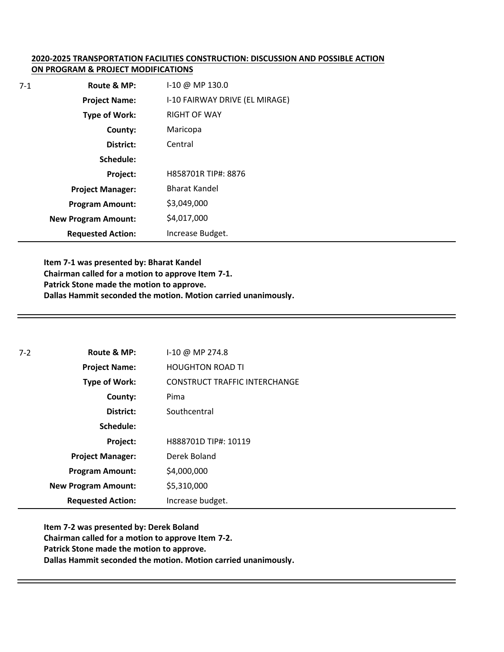## **2020-2025 TRANSPORTATION FACILITIES CONSTRUCTION: DISCUSSION AND POSSIBLE ACTION ON PROGRAM & PROJECT MODIFICATIONS**

| $7 - 1$ | Route & MP:                | $1-10 \ @ \ MP \ 130.0$        |
|---------|----------------------------|--------------------------------|
|         | <b>Project Name:</b>       | I-10 FAIRWAY DRIVE (EL MIRAGE) |
|         | Type of Work:              | <b>RIGHT OF WAY</b>            |
|         | County:                    | Maricopa                       |
|         | District:                  | Central                        |
|         | Schedule:                  |                                |
|         | Project:                   | H858701R TIP#: 8876            |
|         | <b>Project Manager:</b>    | <b>Bharat Kandel</b>           |
|         | <b>Program Amount:</b>     | \$3,049,000                    |
|         | <b>New Program Amount:</b> | \$4,017,000                    |
|         | <b>Requested Action:</b>   | Increase Budget.               |

**Item 7-1 was presented by: Bharat Kandel Chairman called for a motion to approve Item 7-1. Patrick Stone made the motion to approve. Dallas Hammit seconded the motion. Motion carried unanimously.** 

| $7 - 2$ | Route & MP:                | I-10 @ MP 274.8                      |
|---------|----------------------------|--------------------------------------|
|         | <b>Project Name:</b>       | <b>HOUGHTON ROAD TI</b>              |
|         | <b>Type of Work:</b>       | <b>CONSTRUCT TRAFFIC INTERCHANGE</b> |
|         | County:                    | Pima                                 |
|         | District:                  | Southcentral                         |
|         | Schedule:                  |                                      |
|         | Project:                   | H888701D TIP#: 10119                 |
|         | <b>Project Manager:</b>    | Derek Boland                         |
|         | <b>Program Amount:</b>     | \$4,000,000                          |
|         | <b>New Program Amount:</b> | \$5,310,000                          |
|         | <b>Requested Action:</b>   | Increase budget.                     |

**Item 7-2 was presented by: Derek Boland Chairman called for a motion to approve Item 7-2. Patrick Stone made the motion to approve. Dallas Hammit seconded the motion. Motion carried unanimously.**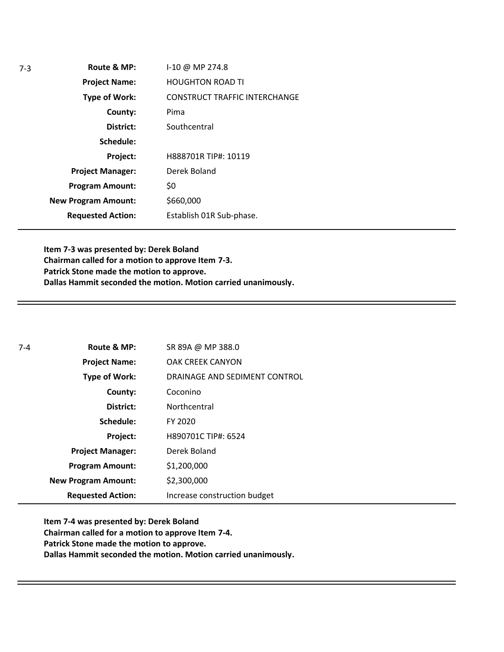**Route & MP: County: District: Schedule: Project Name: Type of Work: Project Manager: Project: Requested Action: New Program Amount: Program Amount:** I-10 @ MP 274.8 HOUGHTON ROAD TI CONSTRUCT TRAFFIC INTERCHANGE Pima **Southcentral** H888701R TIP#: 10119 Derek Boland \$0 \$660,000 Establish 01R Sub-phase.

**Item 7-3 was presented by: Derek Boland Chairman called for a motion to approve Item 7-3. Patrick Stone made the motion to approve. Dallas Hammit seconded the motion. Motion carried unanimously.**

| $7 - 4$ | Route & MP:                | SR 89A @ MP 388.0             |
|---------|----------------------------|-------------------------------|
|         | <b>Project Name:</b>       | <b>OAK CREEK CANYON</b>       |
|         | Type of Work:              | DRAINAGE AND SEDIMENT CONTROL |
|         | County:                    | Coconino                      |
|         | District:                  | Northcentral                  |
|         | Schedule:                  | FY 2020                       |
|         | Project:                   | H890701C TIP#: 6524           |
|         | <b>Project Manager:</b>    | Derek Boland                  |
|         | <b>Program Amount:</b>     | \$1,200,000                   |
|         | <b>New Program Amount:</b> | \$2,300,000                   |
|         | <b>Requested Action:</b>   | Increase construction budget  |

**Item 7-4 was presented by: Derek Boland Chairman called for a motion to approve Item 7-4. Patrick Stone made the motion to approve. Dallas Hammit seconded the motion. Motion carried unanimously.**

7-3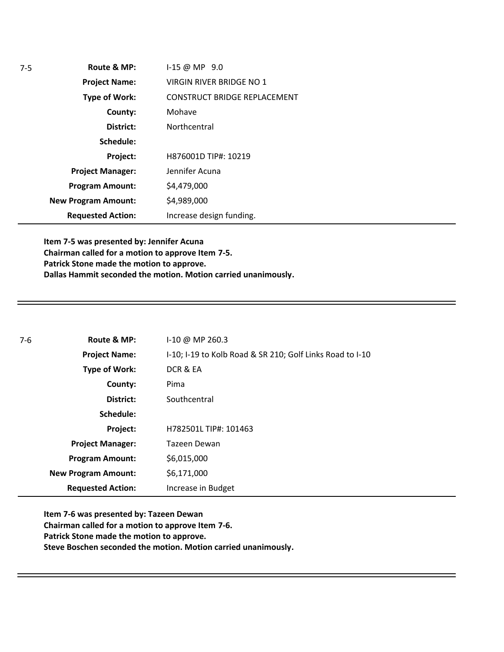| $7-5$ | Route & MP:                | $1-15 @ MP 9.0$                 |
|-------|----------------------------|---------------------------------|
|       | <b>Project Name:</b>       | <b>VIRGIN RIVER BRIDGE NO 1</b> |
|       | <b>Type of Work:</b>       | CONSTRUCT BRIDGE REPLACEMENT    |
|       | County:                    | Mohave                          |
|       | District:                  | Northcentral                    |
|       | Schedule:                  |                                 |
|       | Project:                   | H876001D TIP#: 10219            |
|       | <b>Project Manager:</b>    | Jennifer Acuna                  |
|       | <b>Program Amount:</b>     | \$4,479,000                     |
|       | <b>New Program Amount:</b> | \$4,989,000                     |
|       | <b>Requested Action:</b>   | Increase design funding.        |

**Item 7-5 was presented by: Jennifer Acuna Chairman called for a motion to approve Item 7-5. Patrick Stone made the motion to approve. Dallas Hammit seconded the motion. Motion carried unanimously.**

| $7-6$ | Route & MP:                | $1-10 \omega$ MP 260.3                                    |
|-------|----------------------------|-----------------------------------------------------------|
|       | <b>Project Name:</b>       | I-10; I-19 to Kolb Road & SR 210; Golf Links Road to I-10 |
|       | <b>Type of Work:</b>       | DCR & EA                                                  |
|       | County:                    | Pima                                                      |
|       | District:                  | Southcentral                                              |
|       | Schedule:                  |                                                           |
|       | Project:                   | H782501L TIP#: 101463                                     |
|       | <b>Project Manager:</b>    | Tazeen Dewan                                              |
|       | <b>Program Amount:</b>     | \$6,015,000                                               |
|       | <b>New Program Amount:</b> | \$6,171,000                                               |
|       | <b>Requested Action:</b>   | Increase in Budget                                        |

**Item 7-6 was presented by: Tazeen Dewan Chairman called for a motion to approve Item 7-6. Patrick Stone made the motion to approve. Steve Boschen seconded the motion. Motion carried unanimously.**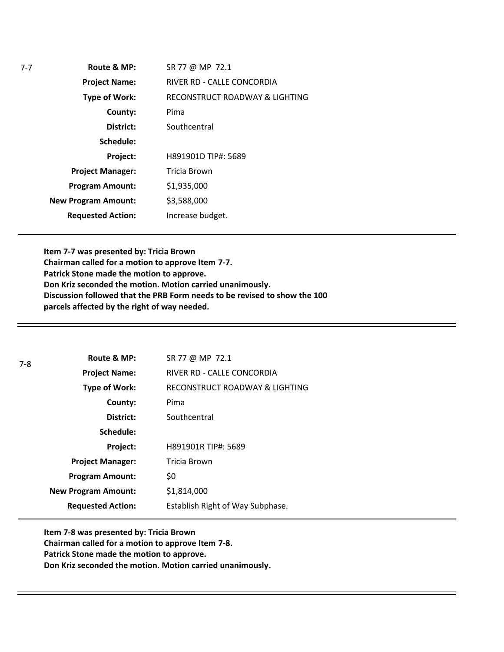**Route & MP: County: District: Schedule: Project Name: Type of Work: Project Manager: Project: Requested Action: New Program Amount: Program Amount:** SR 77 @ MP 72.1 RIVER RD - CALLE CONCORDIA RECONSTRUCT ROADWAY & LIGHTING Pima **Southcentral** H891901D TIP#: 5689 Tricia Brown \$1,935,000 \$3,588,000 Increase budget.

**Item 7-7 was presented by: Tricia Brown Chairman called for a motion to approve Item 7-7. Patrick Stone made the motion to approve. Don Kriz seconded the motion. Motion carried unanimously. Discussion followed that the PRB Form needs to be revised to show the 100 parcels affected by the right of way needed.** 

| $7-8$ | Route & MP:                | SR 77 @ MP 72.1                  |
|-------|----------------------------|----------------------------------|
|       | <b>Project Name:</b>       | RIVER RD - CALLE CONCORDIA       |
|       | <b>Type of Work:</b>       | RECONSTRUCT ROADWAY & LIGHTING   |
|       | County:                    | Pima                             |
|       | District:                  | Southcentral                     |
|       | Schedule:                  |                                  |
|       | Project:                   | H891901R TIP#: 5689              |
|       | <b>Project Manager:</b>    | Tricia Brown                     |
|       | <b>Program Amount:</b>     | \$0                              |
|       | <b>New Program Amount:</b> | \$1,814,000                      |
|       | <b>Requested Action:</b>   | Establish Right of Way Subphase. |

**Item 7-8 was presented by: Tricia Brown Chairman called for a motion to approve Item 7-8. Patrick Stone made the motion to approve. Don Kriz seconded the motion. Motion carried unanimously.**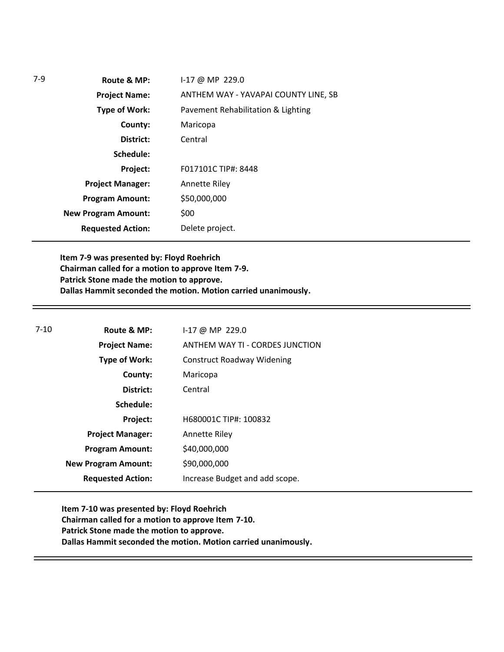| $7-9$ | Route & MP:                | I-17 @ MP 229.0                      |
|-------|----------------------------|--------------------------------------|
|       | <b>Project Name:</b>       | ANTHEM WAY - YAVAPAI COUNTY LINE, SB |
|       | Type of Work:              | Pavement Rehabilitation & Lighting   |
|       | County:                    | Maricopa                             |
|       | District:                  | Central                              |
|       | Schedule:                  |                                      |
|       | Project:                   | F017101C TIP#: 8448                  |
|       | <b>Project Manager:</b>    | <b>Annette Riley</b>                 |
|       | <b>Program Amount:</b>     | \$50,000,000                         |
|       | <b>New Program Amount:</b> | \$00                                 |
|       | <b>Requested Action:</b>   | Delete project.                      |
|       |                            |                                      |

**Item 7-9 was presented by: Floyd Roehrich Chairman called for a motion to approve Item 7-9. Patrick Stone made the motion to approve. Dallas Hammit seconded the motion. Motion carried unanimously.**

| $7-10$ | Route & MP:                | $1-17$ @ MP 229.0                 |  |
|--------|----------------------------|-----------------------------------|--|
|        | <b>Project Name:</b>       | ANTHEM WAY TI - CORDES JUNCTION   |  |
|        | <b>Type of Work:</b>       | <b>Construct Roadway Widening</b> |  |
|        | County:                    | Maricopa                          |  |
|        | District:                  | Central                           |  |
|        | Schedule:                  |                                   |  |
|        | Project:                   | H680001C TIP#: 100832             |  |
|        | <b>Project Manager:</b>    | Annette Riley                     |  |
|        | <b>Program Amount:</b>     | \$40,000,000                      |  |
|        | <b>New Program Amount:</b> | \$90,000,000                      |  |
|        | <b>Requested Action:</b>   | Increase Budget and add scope.    |  |
|        |                            |                                   |  |

**Item 7-10 was presented by: Floyd Roehrich Chairman called for a motion to approve Item 7-10. Patrick Stone made the motion to approve. Dallas Hammit seconded the motion. Motion carried unanimously.**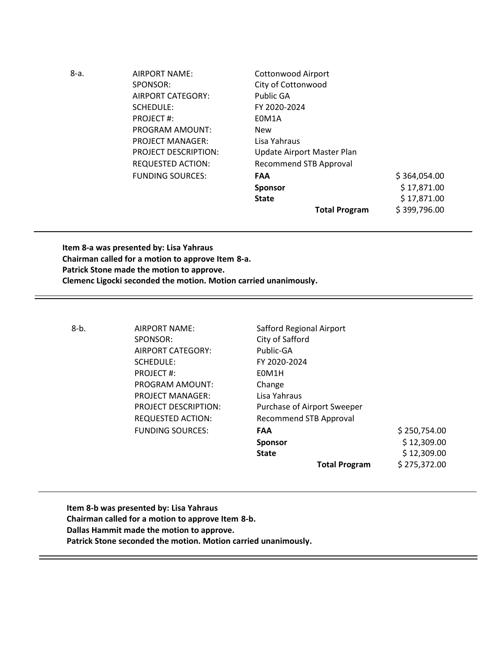| 8-a. | AIRPORT NAME:               | <b>Cottonwood Airport</b>     |              |
|------|-----------------------------|-------------------------------|--------------|
|      | SPONSOR:                    | City of Cottonwood            |              |
|      | AIRPORT CATEGORY:           | Public GA                     |              |
|      | SCHEDULE:                   | FY 2020-2024                  |              |
|      | <b>PROJECT#:</b>            | E0M1A                         |              |
|      | PROGRAM AMOUNT:             | <b>New</b>                    |              |
|      | <b>PROJECT MANAGER:</b>     | Lisa Yahraus                  |              |
|      | <b>PROJECT DESCRIPTION:</b> | Update Airport Master Plan    |              |
|      | <b>REQUESTED ACTION:</b>    | <b>Recommend STB Approval</b> |              |
|      | <b>FUNDING SOURCES:</b>     | <b>FAA</b>                    | \$364,054.00 |
|      |                             | <b>Sponsor</b>                | \$17,871.00  |
|      |                             | <b>State</b>                  | \$17,871.00  |
|      |                             | <b>Total Program</b>          | \$399,796.00 |

**Item 8-a was presented by: Lisa Yahraus Chairman called for a motion to approve Item 8-a. Patrick Stone made the motion to approve. Clemenc Ligocki seconded the motion. Motion carried unanimously.**

8-b. AIRPORT NAME: Safford Regional Airport SPONSOR: City of Safford AIRPORT CATEGORY: Public-GA SCHEDULE: FY 2020-2024 PROJECT #: E0M1H PROGRAM AMOUNT: Change PROJECT MANAGER: Lisa Yahraus

PROJECT DESCRIPTION: Purchase of Airport Sweeper REQUESTED ACTION: Recommend STB Approval FUNDING SOURCES: **FAA** \$ 250,754.00 **Sponsor**  $\frac{1}{2}$  12,309.00 **State**  $\begin{array}{c} \text{State} \\ \text{5} \end{array}$  12,309.00 **Total Program** \$ 275,372.00

**Item 8-b was presented by: Lisa Yahraus Chairman called for a motion to approve Item 8-b. Dallas Hammit made the motion to approve. Patrick Stone seconded the motion. Motion carried unanimously.**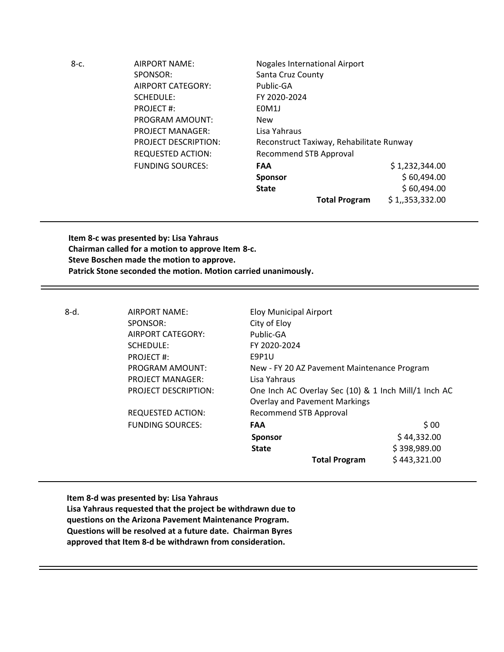| $8-c.$ | <b>AIRPORT NAME:</b>        | <b>Nogales International Airport</b>     |                |
|--------|-----------------------------|------------------------------------------|----------------|
|        | SPONSOR:                    | Santa Cruz County                        |                |
|        | AIRPORT CATEGORY:           | Public-GA                                |                |
|        | SCHEDULE:                   | FY 2020-2024                             |                |
|        | PROJECT#:                   | E0M1J                                    |                |
|        | <b>PROGRAM AMOUNT:</b>      | <b>New</b>                               |                |
|        | <b>PROJECT MANAGER:</b>     | Lisa Yahraus                             |                |
|        | <b>PROJECT DESCRIPTION:</b> | Reconstruct Taxiway, Rehabilitate Runway |                |
|        | <b>REQUESTED ACTION:</b>    | <b>Recommend STB Approval</b>            |                |
|        | <b>FUNDING SOURCES:</b>     | <b>FAA</b>                               | \$1,232,344.00 |
|        |                             | Sponsor                                  | \$60,494.00    |
|        |                             | <b>State</b>                             | \$60,494.00    |
|        |                             | <b>Total Program</b>                     | \$1,353,332.00 |

**Item 8-c was presented by: Lisa Yahraus Chairman called for a motion to approve Item 8-c. Steve Boschen made the motion to approve. Patrick Stone seconded the motion. Motion carried unanimously.**

| 8-d. | AIRPORT NAME:               | <b>Eloy Municipal Airport</b>                        |              |
|------|-----------------------------|------------------------------------------------------|--------------|
|      | SPONSOR:                    | City of Eloy                                         |              |
|      | AIRPORT CATEGORY:           | Public-GA                                            |              |
|      | SCHEDULE:                   | FY 2020-2024                                         |              |
|      | PROJECT#:                   | E9P1U                                                |              |
|      | PROGRAM AMOUNT:             | New - FY 20 AZ Pavement Maintenance Program          |              |
|      | <b>PROJECT MANAGER:</b>     | Lisa Yahraus                                         |              |
|      | <b>PROJECT DESCRIPTION:</b> | One Inch AC Overlay Sec (10) & 1 Inch Mill/1 Inch AC |              |
|      |                             | <b>Overlay and Pavement Markings</b>                 |              |
|      | <b>REQUESTED ACTION:</b>    | Recommend STB Approval                               |              |
|      | <b>FUNDING SOURCES:</b>     | <b>FAA</b>                                           | \$00         |
|      |                             | <b>Sponsor</b>                                       | \$44,332.00  |
|      |                             | <b>State</b>                                         | \$398,989.00 |
|      |                             | <b>Total Program</b>                                 | \$443,321.00 |
|      |                             |                                                      |              |

**Item 8-d was presented by: Lisa Yahraus Lisa Yahraus requested that the project be withdrawn due to questions on the Arizona Pavement Maintenance Program. Questions will be resolved at a future date. Chairman Byres approved that Item 8-d be withdrawn from consideration.**